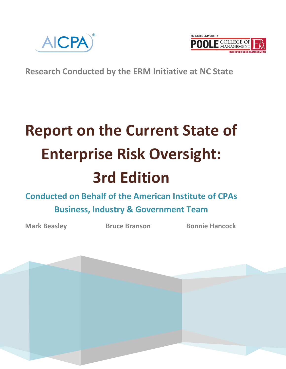



**Research Conducted by the ERM Initiative at NC State**

# **Report on the Current State of Enterprise Risk Oversight: 3rd Edition**

# **Conducted on Behalf of the American Institute of CPAs Business, Industry & Government Team**

**Mark Beasley Bruce Branson Bonnie Hancock** 

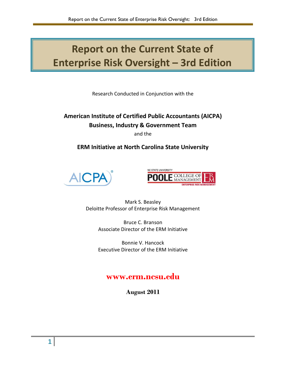# **Report on the Current State of Enterprise Risk Oversight – 3rd Edition**

Research Conducted in Conjunction with the

# **American Institute of Certified Public Accountants (AICPA) Business, Industry & Government Team**

and the

# **ERM Initiative at North Carolina State University**





Mark S. Beasley Deloitte Professor of Enterprise Risk Management

> Bruce C. Branson Associate Director of the ERM Initiative

> Bonnie V. Hancock Executive Director of the ERM Initiative

# **www.erm.ncsu.edu**

**August 2011**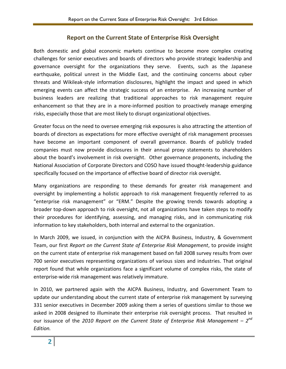#### **Report on the Current State of Enterprise Risk Oversight**

Both domestic and global economic markets continue to become more complex creating challenges for senior executives and boards of directors who provide strategic leadership and governance oversight for the organizations they serve. Events, such as the Japanese earthquake, political unrest in the Middle East, and the continuing concerns about cyber threats and Wikileak-style information disclosures, highlight the impact and speed in which emerging events can affect the strategic success of an enterprise. An increasing number of business leaders are realizing that traditional approaches to risk management require enhancement so that they are in a more-informed position to proactively manage emerging risks, especially those that are most likely to disrupt organizational objectives.

Greater focus on the need to oversee emerging risk exposures is also attracting the attention of boards of directors as expectations for more effective oversight of risk management processes have become an important component of overall governance. Boards of publicly traded companies must now provide disclosures in their annual proxy statements to shareholders about the board's involvement in risk oversight. Other governance proponents, including the National Association of Corporate Directors and COSO have issued thought-leadership guidance specifically focused on the importance of effective board of director risk oversight.

Many organizations are responding to these demands for greater risk management and oversight by implementing a holistic approach to risk management frequently referred to as "enterprise risk management" or "ERM." Despite the growing trends towards adopting a broader top-down approach to risk oversight, not all organizations have taken steps to modify their procedures for identifying, assessing, and managing risks, and in communicating risk information to key stakeholders, both internal and external to the organization.

In March 2009, we issued, in conjunction with the AICPA Business, Industry, & Government Team, our first *Report on the Current State of Enterprise Risk Management*, to provide insight on the current state of enterprise risk management based on fall 2008 survey results from over 700 senior executives representing organizations of various sizes and industries. That original report found that while organizations face a significant volume of complex risks, the state of enterprise-wide risk management was relatively immature.

In 2010, we partnered again with the AICPA Business, Industry, and Government Team to update our understanding about the current state of enterprise risk management by surveying 331 senior executives in December 2009 asking them a series of questions similar to those we asked in 2008 designed to illuminate their enterprise risk oversight process. That resulted in our issuance of the 2010 Report on the Current State of Enterprise Risk Management – 2<sup>nd</sup> *Edition.*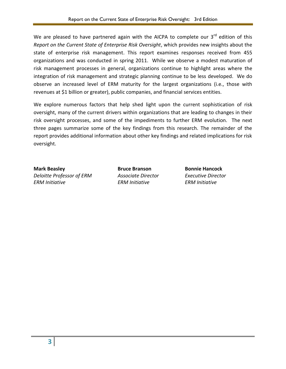We are pleased to have partnered again with the AICPA to complete our  $3^{rd}$  edition of this *Report on the Current State of Enterprise Risk Oversight*, which provides new insights about the state of enterprise risk management. This report examines responses received from 455 organizations and was conducted in spring 2011. While we observe a modest maturation of risk management processes in general, organizations continue to highlight areas where the integration of risk management and strategic planning continue to be less developed. We do observe an increased level of ERM maturity for the largest organizations (i.e., those with revenues at \$1 billion or greater), public companies, and financial services entities.

We explore numerous factors that help shed light upon the current sophistication of risk oversight, many of the current drivers within organizations that are leading to changes in their risk oversight processes, and some of the impediments to further ERM evolution. The next three pages summarize some of the key findings from this research. The remainder of the report provides additional information about other key findings and related implications for risk oversight.

*Deloitte Professor of ERM Associate Director Executive Director ERM Initiative ERM Initiative ERM Initiative*

**Mark Beasley Bruce Branson Bonnie Hancock**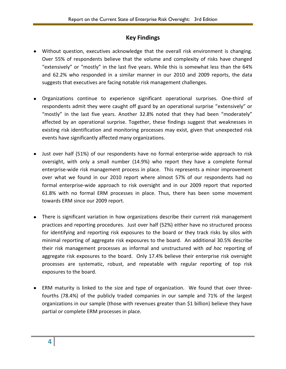## **Key Findings**

- Without question, executives acknowledge that the overall risk environment is changing. Over 55% of respondents believe that the volume and complexity of risks have changed "extensively" or "mostly" in the last five years. While this is somewhat less than the 64% and 62.2% who responded in a similar manner in our 2010 and 2009 reports, the data suggests that executives are facing notable risk management challenges.
- Organizations continue to experience significant operational surprises. One-third of respondents admit they were caught off guard by an operational surprise "extensively" or "mostly" in the last five years. Another 32.8% noted that they had been "moderately" affected by an operational surprise. Together, these findings suggest that weaknesses in existing risk identification and monitoring processes may exist, given that unexpected risk events have significantly affected many organizations.
- Just over half (51%) of our respondents have no formal enterprise-wide approach to risk oversight, with only a small number (14.9%) who report they have a complete formal enterprise-wide risk management process in place. This represents a minor improvement over what we found in our 2010 report where almost 57% of our respondents had no formal enterprise-wide approach to risk oversight and in our 2009 report that reported 61.8% with no formal ERM processes in place. Thus, there has been some movement towards ERM since our 2009 report.
- There is significant variation in how organizations describe their current risk management practices and reporting procedures. Just over half (52%) either have no structured process for identifying and reporting risk exposures to the board or they track risks by silos with minimal reporting of aggregate risk exposures to the board. An additional 30.5% describe their risk management processes as informal and unstructured with *ad hoc* reporting of aggregate risk exposures to the board. Only 17.4% believe their enterprise risk oversight processes are systematic, robust, and repeatable with regular reporting of top risk exposures to the board.
- ERM maturity is linked to the size and type of organization. We found that over threefourths (78.4%) of the publicly traded companies in our sample and 71% of the largest organizations in our sample (those with revenues greater than \$1 billion) believe they have partial or complete ERM processes in place.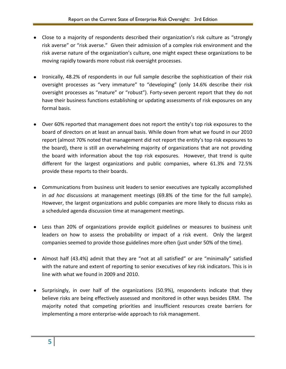- Close to a majority of respondents described their organization's risk culture as "strongly risk averse" or "risk averse." Given their admission of a complex risk environment and the risk averse nature of the organization's culture, one might expect these organizations to be moving rapidly towards more robust risk oversight processes.
- Ironically, 48.2% of respondents in our full sample describe the sophistication of their risk oversight processes as "very immature" to "developing" (only 14.6% describe their risk oversight processes as "mature" or "robust"). Forty-seven percent report that they do not have their business functions establishing or updating assessments of risk exposures on any formal basis.
- Over 60% reported that management does not report the entity's top risk exposures to the board of directors on at least an annual basis. While down from what we found in our 2010 report (almost 70% noted that management did not report the entity's top risk exposures to the board), there is still an overwhelming majority of organizations that are not providing the board with information about the top risk exposures. However, that trend is quite different for the largest organizations and public companies, where 61.3% and 72.5% provide these reports to their boards.
- Communications from business unit leaders to senior executives are typically accomplished in *ad hoc* discussions at management meetings (69.8% of the time for the full sample). However, the largest organizations and public companies are more likely to discuss risks as a scheduled agenda discussion time at management meetings.
- Less than 20% of organizations provide explicit guidelines or measures to business unit leaders on how to assess the probability or impact of a risk event. Only the largest companies seemed to provide those guidelines more often (just under 50% of the time).
- Almost half (43.4%) admit that they are "not at all satisfied" or are "minimally" satisfied with the nature and extent of reporting to senior executives of key risk indicators. This is in line with what we found in 2009 and 2010.
- Surprisingly, in over half of the organizations (50.9%), respondents indicate that they believe risks are being effectively assessed and monitored in other ways besides ERM. The majority noted that competing priorities and insufficient resources create barriers for implementing a more enterprise-wide approach to risk management.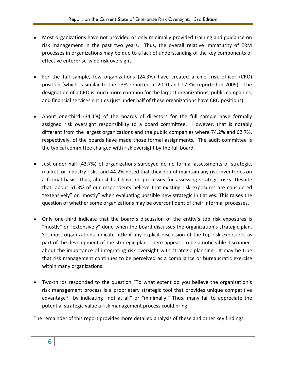- Most organizations have not provided or only minimally provided training and guidance on risk management in the past two years. Thus, the overall relative immaturity of ERM processes in organizations may be due to a lack of understanding of the key components of effective enterprise-wide risk oversight.
- For the full sample, few organizations (24.3%) have created a chief risk officer (CRO) position (which is similar to the 23% reported in 2010 and 17.8% reported in 2009). The designation of a CRO is much more common for the largest organizations, public companies, and financial services entities (just under half of these organizations have CRO positions).
- About one-third (34.1%) of the boards of directors for the full sample have formally assigned risk oversight responsibility to a board committee. However, that is notably different from the largest organizations and the public companies where 74.2% and 62.7%, respectively, of the boards have made those formal assignments. The audit committee is the typical committee charged with risk oversight by the full board.
- Just under half (43.7%) of organizations surveyed do no formal assessments of strategic, market, or industry risks, and 44.2% noted that they do not maintain any risk inventories on a formal basis. Thus, almost half have no processes for assessing strategic risks. Despite that, about 51.3% of our respondents believe that existing risk exposures are considered "extensively" or "mostly" when evaluating possible new strategic initiatives. This raises the question of whether some organizations may be overconfident of their informal processes.
- Only one-third indicate that the board's discussion of the entity's top risk exposures is "mostly" or "extensively" done when the board discusses the organization's strategic plan. So, most organizations indicate little if any explicit discussion of the top risk exposures as part of the development of the strategic plan. There appears to be a noticeable disconnect about the importance of integrating risk oversight with strategic planning. It may be true that risk management continues to be perceived as a compliance or bureaucratic exercise within many organizations.
- Two-thirds responded to the question "To what extent do you believe the organization's risk management process is a proprietary strategic tool that provides unique competitive advantage?" by indicating "not at all" or "minimally." Thus, many fail to appreciate the potential strategic value a risk management process could bring.

The remainder of this report provides more detailed analysis of these and other key findings.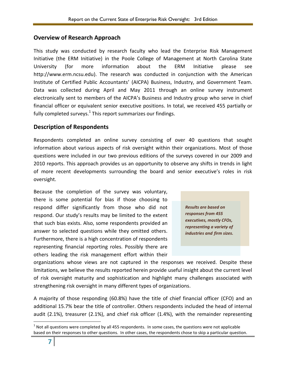#### **Overview of Research Approach**

This study was conducted by research faculty who lead the Enterprise Risk Management Initiative (the ERM Initiative) in the Poole College of Management at North Carolina State University (for more information about the ERM Initiative please see http://www.erm.ncsu.edu). The research was conducted in conjunction with the American Institute of Certified Public Accountants' (AICPA) Business, Industry, and Government Team. Data was collected during April and May 2011 through an online survey instrument electronically sent to members of the AICPA's Business and Industry group who serve in chief financial officer or equivalent senior executive positions. In total, we received 455 partially or fully completed surveys. $^{1}$  This report summarizes our findings.

## **Description of Respondents**

Respondents completed an online survey consisting of over 40 questions that sought information about various aspects of risk oversight within their organizations. Most of those questions were included in our two previous editions of the surveys covered in our 2009 and 2010 reports. This approach provides us an opportunity to observe any shifts in trends in light of more recent developments surrounding the board and senior executive's roles in risk oversight.

Because the completion of the survey was voluntary, there is some potential for bias if those choosing to respond differ significantly from those who did not respond. Our study's results may be limited to the extent that such bias exists. Also, some respondents provided an answer to selected questions while they omitted others. Furthermore, there is a high concentration of respondents representing financial reporting roles. Possibly there are others leading the risk management effort within their



organizations whose views are not captured in the responses we received. Despite these limitations, we believe the results reported herein provide useful insight about the current level of risk oversight maturity and sophistication and highlight many challenges associated with strengthening risk oversight in many different types of organizations.

A majority of those responding (60.8%) have the title of chief financial officer (CFO) and an additional 15.7% bear the title of controller. Others respondents included the head of internal audit (2.1%), treasurer (2.1%), and chief risk officer (1.4%), with the remainder representing

l  $<sup>1</sup>$  Not all questions were completed by all 455 respondents. In some cases, the questions were not applicable</sup> based on their responses to other questions. In other cases, the respondents chose to skip a particular question.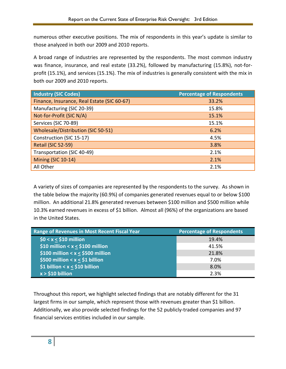numerous other executive positions. The mix of respondents in this year's update is similar to those analyzed in both our 2009 and 2010 reports.

A broad range of industries are represented by the respondents. The most common industry was finance, insurance, and real estate (33.2%), followed by manufacturing (15.8%), not-forprofit (15.1%), and services (15.1%). The mix of industries is generally consistent with the mix in both our 2009 and 2010 reports.

| <b>Industry (SIC Codes)</b>                 | <b>Percentage of Respondents</b> |
|---------------------------------------------|----------------------------------|
| Finance, Insurance, Real Estate (SIC 60-67) | 33.2%                            |
| Manufacturing (SIC 20-39)                   | 15.8%                            |
| Not-for-Profit (SIC N/A)                    | 15.1%                            |
| Services (SIC 70-89)                        | 15.1%                            |
| <b>Wholesale/Distribution (SIC 50-51)</b>   | 6.2%                             |
| Construction (SIC 15-17)                    | 4.5%                             |
| Retail (SIC 52-59)                          | 3.8%                             |
| Transportation (SIC 40-49)                  | 2.1%                             |
| <b>Mining (SIC 10-14)</b>                   | 2.1%                             |
| All Other                                   | 2.1%                             |

A variety of sizes of companies are represented by the respondents to the survey. As shown in the table below the majority (60.9%) of companies generated revenues equal to or below \$100 million. An additional 21.8% generated revenues between \$100 million and \$500 million while 10.3% earned revenues in excess of \$1 billion. Almost all (96%) of the organizations are based in the United States.

| Range of Revenues in Most Recent Fiscal Year | <b>Percentage of Respondents</b> |
|----------------------------------------------|----------------------------------|
| $$0 < x < $10$ million                       | 19.4%                            |
| \$10 million < $x <$ \$100 million           | 41.5%                            |
| \$100 million < $x <$ \$500 million          | 21.8%                            |
| \$500 million < $x <$ \$1 billion            | 7.0%                             |
| \$1 billion < x < \$10 billion               | 8.0%                             |
| $x > $10$ billion                            | 2.3%                             |

Throughout this report, we highlight selected findings that are notably different for the 31 largest firms in our sample, which represent those with revenues greater than \$1 billion. Additionally, we also provide selected findings for the 52 publicly-traded companies and 97 financial services entities included in our sample.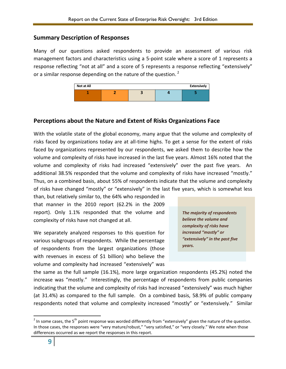#### **Summary Description of Responses**

Many of our questions asked respondents to provide an assessment of various risk management factors and characteristics using a 5-point scale where a score of 1 represents a response reflecting "not at all" and a score of 5 represents a response reflecting "extensively" or a similar response depending on the nature of the question.<sup>2</sup>



#### **Perceptions about the Nature and Extent of Risks Organizations Face**

With the volatile state of the global economy, many argue that the volume and complexity of risks faced by organizations today are at all-time highs. To get a sense for the extent of risks faced by organizations represented by our respondents, we asked them to describe how the volume and complexity of risks have increased in the last five years. Almost 16% noted that the volume and complexity of risks had increased "extensively" over the past five years. An additional 38.5% responded that the volume and complexity of risks have increased "mostly." Thus, on a combined basis, about 55% of respondents indicate that the volume and complexity of risks have changed "mostly" or "extensively" in the last five years, which is somewhat less

than, but relatively similar to, the 64% who responded in that manner in the 2010 report (62.2% in the 2009 report). Only 1.1% responded that the volume and complexity of risks have not changed at all.

We separately analyzed responses to this question for various subgroups of respondents. While the percentage of respondents from the largest organizations (those with revenues in excess of \$1 billion) who believe the volume and complexity had increased "extensively" was

*The majority of respondents believe the volume and complexity of risks have increased "mostly" or "extensively" in the past five years.*

the same as the full sample (16.1%), more large organization respondents (45.2%) noted the increase was "mostly." Interestingly, the percentage of respondents from public companies indicating that the volume and complexity of risks had increased "extensively" was much higher (at 31.4%) as compared to the full sample. On a combined basis, 58.9% of public company respondents noted that volume and complexity increased "mostly" or "extensively." Similar

 $\overline{\phantom{a}}$ 

<sup>&</sup>lt;sup>2</sup> In some cases, the 5<sup>th</sup> point response was worded differently from "extensively" given the nature of the question. In those cases, the responses were "very mature/robust," "very satisfied," or "very closely." We note when those differences occurred as we report the responses in this report.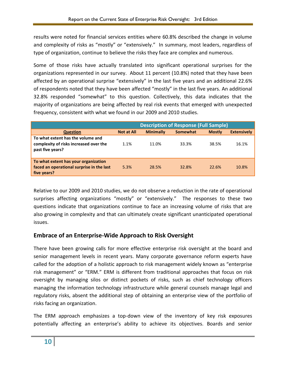results were noted for financial services entities where 60.8% described the change in volume and complexity of risks as "mostly" or "extensively." In summary, most leaders, regardless of type of organization, continue to believe the risks they face are complex and numerous.

Some of those risks have actually translated into significant operational surprises for the organizations represented in our survey. About 11 percent (10.8%) noted that they have been affected by an operational surprise "extensively" in the last five years and an additional 22.6% of respondents noted that they have been affected "mostly" in the last five years. An additional 32.8% responded "somewhat" to this question. Collectively, this data indicates that the majority of organizations are being affected by real risk events that emerged with unexpected frequency, consistent with what we found in our 2009 and 2010 studies.

|                                                                                                  | <b>Description of Response (Full Sample)</b> |                  |                 |               |                    |
|--------------------------------------------------------------------------------------------------|----------------------------------------------|------------------|-----------------|---------------|--------------------|
| <b>Question</b>                                                                                  | <b>Not at All</b>                            | <b>Minimally</b> | <b>Somewhat</b> | <b>Mostly</b> | <b>Extensively</b> |
| To what extent has the volume and<br>complexity of risks increased over the<br>past five years?  | 1.1%                                         | 11.0%            | 33.3%           | 38.5%         | 16.1%              |
| To what extent has your organization<br>faced an operational surprise in the last<br>five years? | 5.3%                                         | 28.5%            | 32.8%           | 22.6%         | 10.8%              |

Relative to our 2009 and 2010 studies, we do not observe a reduction in the rate of operational surprises affecting organizations "mostly" or "extensively." The responses to these two questions indicate that organizations continue to face an increasing volume of risks that are also growing in complexity and that can ultimately create significant unanticipated operational issues.

# **Embrace of an Enterprise-Wide Approach to Risk Oversight**

There have been growing calls for more effective enterprise risk oversight at the board and senior management levels in recent years. Many corporate governance reform experts have called for the adoption of a holistic approach to risk management widely known as "enterprise risk management" or "ERM." ERM is different from traditional approaches that focus on risk oversight by managing silos or distinct pockets of risks, such as chief technology officers managing the information technology infrastructure while general counsels manage legal and regulatory risks, absent the additional step of obtaining an enterprise view of the portfolio of risks facing an organization.

The ERM approach emphasizes a top-down view of the inventory of key risk exposures potentially affecting an enterprise's ability to achieve its objectives. Boards and senior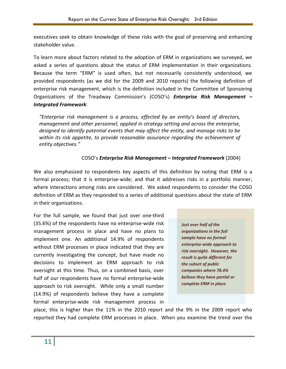executives seek to obtain knowledge of these risks with the goal of preserving and enhancing stakeholder value.

To learn more about factors related to the adoption of ERM in organizations we surveyed, we asked a series of questions about the status of ERM implementation in their organizations. Because the term "ERM" is used often, but not necessarily consistently understood, we provided respondents (as we did for the 2009 and 2010 reports) the following definition of enterprise risk management, which is the definition included in the Committee of Sponsoring Organizations of the Treadway Commission's (COSO's) *Enterprise Risk Management – Integrated Framework*:

*"Enterprise risk management is a process, effected by an entity's board of directors, management and other personnel, applied in strategy setting and across the enterprise, designed to identify potential events that may affect the entity, and manage risks to be within its risk appetite, to provide reasonable assurance regarding the achievement of entity objectives."*

#### COSO's *Enterprise Risk Management – Integrated Framework* (2004)

We also emphasized to respondents key aspects of this definition by noting that ERM is a formal process; that it is enterprise-wide; and that it addresses risks in a portfolio manner, where interactions among risks are considered. We asked respondents to consider the COSO definition of ERM as they responded to a series of additional questions about the state of ERM in their organizations.

For the full sample, we found that just over one-third (35.6%) of the respondents have no enterprise-wide risk management process in place and have no plans to implement one. An additional 14.9% of respondents without ERM processes in place indicated that they are currently investigating the concept, but have made no decisions to implement an ERM approach to risk oversight at this time. Thus, on a combined basis, over half of our respondents have no formal enterprise-wide approach to risk oversight. While only a small number (14.9%) of respondents believe they have a complete formal enterprise-wide risk management process in

*Just over half of the organizations in the full sample have no formal enterprise-wide approach to risk oversight. However, the result is quite different for the subset of public companies where 78.4% believe they have partial or complete ERM in place.*

place, this is higher than the 11% in the 2010 report and the 9% in the 2009 report who reported they had complete ERM processes in place. When you examine the trend over the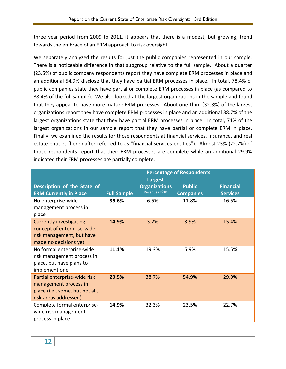three year period from 2009 to 2011, it appears that there is a modest, but growing, trend towards the embrace of an ERM approach to risk oversight.

We separately analyzed the results for just the public companies represented in our sample. There is a noticeable difference in that subgroup relative to the full sample. About a quarter (23.5%) of public company respondents report they have complete ERM processes in place and an additional 54.9% disclose that they have partial ERM processes in place. In total, 78.4% of public companies state they have partial or complete ERM processes in place (as compared to 38.4% of the full sample). We also looked at the largest organizations in the sample and found that they appear to have more mature ERM processes. About one-third (32.3%) of the largest organizations report they have complete ERM processes in place and an additional 38.7% of the largest organizations state that they have partial ERM processes in place. In total, 71% of the largest organizations in our sample report that they have partial or complete ERM in place. Finally, we examined the results for those respondents at financial services, insurance, and real estate entities (hereinafter referred to as "financial services entities"). Almost 23% (22.7%) of those respondents report that their ERM processes are complete while an additional 29.9% indicated their ERM processes are partially complete.

|                                                                                                                    | <b>Percentage of Respondents</b> |                                          |                                   |                                     |  |
|--------------------------------------------------------------------------------------------------------------------|----------------------------------|------------------------------------------|-----------------------------------|-------------------------------------|--|
|                                                                                                                    |                                  | <b>Largest</b>                           |                                   |                                     |  |
| Description of the State of<br><b>ERM Currently in Place</b>                                                       | <b>Full Sample</b>               | <b>Organizations</b><br>(Revenues >\$1B) | <b>Public</b><br><b>Companies</b> | <b>Financial</b><br><b>Services</b> |  |
| No enterprise-wide<br>management process in<br>place                                                               | 35.6%                            | 6.5%                                     | 11.8%                             | 16.5%                               |  |
| <b>Currently investigating</b><br>concept of enterprise-wide<br>risk management, but have<br>made no decisions yet | 14.9%                            | 3.2%                                     | 3.9%                              | 15.4%                               |  |
| No formal enterprise-wide<br>risk management process in<br>place, but have plans to<br>implement one               | 11.1%                            | 19.3%                                    | 5.9%                              | 15.5%                               |  |
| Partial enterprise-wide risk<br>management process in<br>place (i.e., some, but not all,<br>risk areas addressed)  | 23.5%                            | 38.7%                                    | 54.9%                             | 29.9%                               |  |
| Complete formal enterprise-<br>wide risk management<br>process in place                                            | 14.9%                            | 32.3%                                    | 23.5%                             | 22.7%                               |  |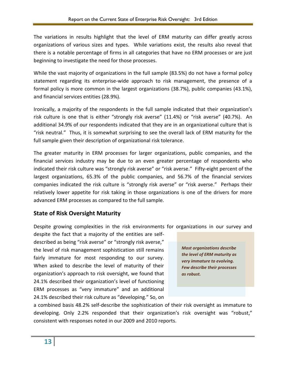The variations in results highlight that the level of ERM maturity can differ greatly across organizations of various sizes and types. While variations exist, the results also reveal that there is a notable percentage of firms in all categories that have no ERM processes or are just beginning to investigate the need for those processes.

While the vast majority of organizations in the full sample (83.5%) do not have a formal policy statement regarding its enterprise-wide approach to risk management, the presence of a formal policy is more common in the largest organizations (38.7%), public companies (43.1%), and financial services entities (28.9%).

Ironically, a majority of the respondents in the full sample indicated that their organization's risk culture is one that is either "strongly risk averse" (11.4%) or "risk averse" (40.7%). An additional 34.9% of our respondents indicated that they are in an organizational culture that is "risk neutral." Thus, it is somewhat surprising to see the overall lack of ERM maturity for the full sample given their description of organizational risk tolerance.

The greater maturity in ERM processes for larger organizations, public companies, and the financial services industry may be due to an even greater percentage of respondents who indicated their risk culture was "strongly risk averse" or "risk averse." Fifty-eight percent of the largest organizations, 65.3% of the public companies, and 56.7% of the financial services companies indicated the risk culture is "strongly risk averse" or "risk averse." Perhaps their relatively lower appetite for risk taking in those organizations is one of the drivers for more advanced ERM processes as compared to the full sample.

# **State of Risk Oversight Maturity**

Despite growing complexities in the risk environments for organizations in our survey and

despite the fact that a majority of the entities are selfdescribed as being "risk averse" or "strongly risk averse," the level of risk management sophistication still remains fairly immature for most responding to our survey. When asked to describe the level of maturity of their organization's approach to risk oversight, we found that 24.1% described their organization's level of functioning ERM processes as "very immature" and an additional 24.1% described their risk culture as "developing." So, on



a combined basis 48.2% self-describe the sophistication of their risk oversight as immature to developing. Only 2.2% responded that their organization's risk oversight was "robust," consistent with responses noted in our 2009 and 2010 reports.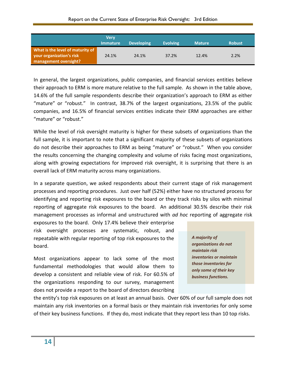|                                                                                       | <b>Verv</b><br><b>Immature</b> | <b>Developing</b> | <b>Evolving</b> | <b>Mature</b> | <b>Robust</b> |
|---------------------------------------------------------------------------------------|--------------------------------|-------------------|-----------------|---------------|---------------|
| What is the level of maturity of<br>your organization's risk<br>management oversight? | 24.1%                          | 24.1%             | 37.2%           | 12.4%         | 2.2%          |

In general, the largest organizations, public companies, and financial services entities believe their approach to ERM is more mature relative to the full sample. As shown in the table above, 14.6% of the full sample respondents describe their organization's approach to ERM as either "mature" or "robust." In contrast, 38.7% of the largest organizations, 23.5% of the public companies, and 16.5% of financial services entities indicate their ERM approaches are either "mature" or "robust."

While the level of risk oversight maturity is higher for these subsets of organizations than the full sample, it is important to note that a significant majority of these subsets of organizations do not describe their approaches to ERM as being "mature" or "robust." When you consider the results concerning the changing complexity and volume of risks facing most organizations, along with growing expectations for improved risk oversight, it is surprising that there is an overall lack of ERM maturity across many organizations.

In a separate question, we asked respondents about their current stage of risk management processes and reporting procedures. Just over half (52%) either have no structured process for identifying and reporting risk exposures to the board or they track risks by silos with minimal reporting of aggregate risk exposures to the board. An additional 30.5% describe their risk management processes as informal and unstructured with *ad hoc* reporting of aggregate risk

exposures to the board. Only 17.4% believe their enterprise risk oversight processes are systematic, robust, and repeatable with regular reporting of top risk exposures to the board.

Most organizations appear to lack some of the most fundamental methodologies that would allow them to develop a consistent and reliable view of risk. For 60.5% of the organizations responding to our survey, management does not provide a report to the board of directors describing

*A majority of organizations do not maintain risk inventories or maintain those inventories for only some of their key business functions.*

the entity's top risk exposures on at least an annual basis. Over 60% of our full sample does not maintain any risk inventories on a formal basis or they maintain risk inventories for only some of their key business functions. If they do, most indicate that they report less than 10 top risks.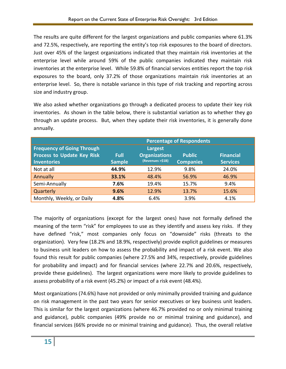The results are quite different for the largest organizations and public companies where 61.3% and 72.5%, respectively, are reporting the entity's top risk exposures to the board of directors. Just over 45% of the largest organizations indicated that they maintain risk inventories at the enterprise level while around 59% of the public companies indicated they maintain risk inventories at the enterprise level. While 59.8% of financial services entities report the top risk exposures to the board, only 37.2% of those organizations maintain risk inventories at an enterprise level. So, there is notable variance in this type of risk tracking and reporting across size and industry group.

We also asked whether organizations go through a dedicated process to update their key risk inventories. As shown in the table below, there is substantial variation as to whether they go through an update process. But, when they update their risk inventories, it is generally done annually.

|                                   | <b>Percentage of Respondents</b> |                      |                  |                  |  |
|-----------------------------------|----------------------------------|----------------------|------------------|------------------|--|
| <b>Frequency of Going Through</b> |                                  | Largest              |                  |                  |  |
| <b>Process to Update Key Risk</b> | <b>Full</b>                      | <b>Organizations</b> | <b>Public</b>    | <b>Financial</b> |  |
| <b>Inventories</b>                | <b>Sample</b>                    | (Revenues >\$1B)     | <b>Companies</b> | <b>Services</b>  |  |
| Not at all                        | 44.9%                            | 12.9%                | 9.8%             | 24.0%            |  |
| <b>Annually</b>                   | 33.1%                            | 48.4%                | 56.9%            | 46.9%            |  |
| Semi-Annually                     | 7.6%                             | 19.4%                | 15.7%            | 9.4%             |  |
| Quarterly                         | 9.6%                             | 12.9%                | 13.7%            | 15.6%            |  |
| Monthly, Weekly, or Daily         | 4.8%                             | 6.4%                 | 3.9%             | 4.1%             |  |

The majority of organizations (except for the largest ones) have not formally defined the meaning of the term "risk" for employees to use as they identify and assess key risks. If they have defined "risk," most companies only focus on "downside" risks (threats to the organization). Very few (18.2% and 18.9%, respectively) provide explicit guidelines or measures to business unit leaders on how to assess the probability and impact of a risk event. We also found this result for public companies (where 27.5% and 34%, respectively, provide guidelines for probability and impact) and for financial services (where 22.7% and 20.6%, respectively, provide these guidelines). The largest organizations were more likely to provide guidelines to assess probability of a risk event (45.2%) or impact of a risk event (48.4%).

Most organizations (74.6%) have not provided or only minimally provided training and guidance on risk management in the past two years for senior executives or key business unit leaders. This is similar for the largest organizations (where 46.7% provided no or only minimal training and guidance), public companies (49% provide no or minimal training and guidance), and financial services (66% provide no or minimal training and guidance). Thus, the overall relative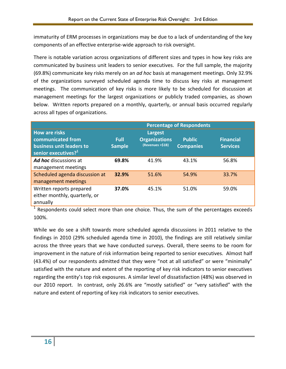immaturity of ERM processes in organizations may be due to a lack of understanding of the key components of an effective enterprise-wide approach to risk oversight.

There is notable variation across organizations of different sizes and types in how key risks are communicated by business unit leaders to senior executives. For the full sample, the majority (69.8%) communicate key risks merely on an *ad hoc* basis at management meetings. Only 32.9% of the organizations surveyed scheduled agenda time to discuss key risks at management meetings. The communication of key risks is more likely to be scheduled for discussion at management meetings for the largest organizations or publicly traded companies, as shown below. Written reports prepared on a monthly, quarterly, or annual basis occurred regularly across all types of organizations.

|                                 | <b>Percentage of Respondents</b> |                      |                  |                  |  |
|---------------------------------|----------------------------------|----------------------|------------------|------------------|--|
| <b>How are risks</b>            |                                  | Largest              |                  |                  |  |
| communicated from               | <b>Full</b>                      | <b>Organizations</b> | <b>Public</b>    | <b>Financial</b> |  |
| business unit leaders to        | <b>Sample</b>                    | (Revenues >\$1B)     | <b>Companies</b> | <b>Services</b>  |  |
| senior executives? <sup>1</sup> |                                  |                      |                  |                  |  |
| <b>Ad hoc</b> discussions at    | 69.8%                            | 41.9%                | 43.1%            | 56.8%            |  |
| management meetings             |                                  |                      |                  |                  |  |
| Scheduled agenda discussion at  | 32.9%                            | 51.6%                | 54.9%            | 33.7%            |  |
| management meetings             |                                  |                      |                  |                  |  |
| Written reports prepared        | 37.0%                            | 45.1%                | 51.0%            | 59.0%            |  |
| either monthly, quarterly, or   |                                  |                      |                  |                  |  |
| annually                        |                                  |                      |                  |                  |  |

<sup>1</sup> Respondents could select more than one choice. Thus, the sum of the percentages exceeds 100%.

While we do see a shift towards more scheduled agenda discussions in 2011 relative to the findings in 2010 (29% scheduled agenda time in 2010), the findings are still relatively similar across the three years that we have conducted surveys. Overall, there seems to be room for improvement in the nature of risk information being reported to senior executives. Almost half (43.4%) of our respondents admitted that they were "not at all satisfied" or were "minimally" satisfied with the nature and extent of the reporting of key risk indicators to senior executives regarding the entity's top risk exposures. A similar level of dissatisfaction (48%) was observed in our 2010 report. In contrast, only 26.6% are "mostly satisfied" or "very satisfied" with the nature and extent of reporting of key risk indicators to senior executives.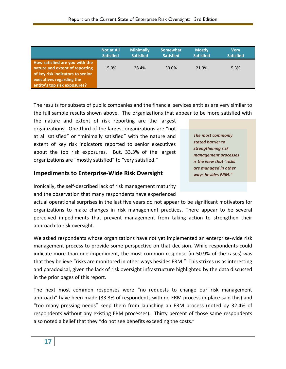|                                                                                                                                                                  | <b>Not at All</b> | <b>Minimally</b> | Somewhat         | <b>Mostly</b>    | <b>Verv</b>      |
|------------------------------------------------------------------------------------------------------------------------------------------------------------------|-------------------|------------------|------------------|------------------|------------------|
|                                                                                                                                                                  | <b>Satisfied</b>  | <b>Satisfied</b> | <b>Satisfied</b> | <b>Satisfied</b> | <b>Satisfied</b> |
| How satisfied are you with the<br>nature and extent of reporting<br>of key risk indicators to senior<br>executives regarding the<br>entity's top risk exposures? | 15.0%             | 28.4%            | 30.0%            | 21.3%            | 5.3%             |

The results for subsets of public companies and the financial services entities are very similar to the full sample results shown above. The organizations that appear to be more satisfied with

the nature and extent of risk reporting are the largest organizations. One-third of the largest organizations are "not at all satisfied" or "minimally satisfied" with the nature and extent of key risk indicators reported to senior executives about the top risk exposures. But, 33.3% of the largest organizations are "mostly satisfied" to "very satisfied."

#### **Impediments to Enterprise-Wide Risk Oversight**

Ironically, the self-described lack of risk management maturity and the observation that many respondents have experienced

actual operational surprises in the last five years do not appear to be significant motivators for organizations to make changes in risk management practices. There appear to be several perceived impediments that prevent management from taking action to strengthen their approach to risk oversight.

We asked respondents whose organizations have not yet implemented an enterprise-wide risk management process to provide some perspective on that decision. While respondents could indicate more than one impediment, the most common response (in 50.9% of the cases) was that they believe "risks are monitored in other ways besides ERM." This strikes us as interesting and paradoxical, given the lack of risk oversight infrastructure highlighted by the data discussed in the prior pages of this report.

The next most common responses were "no requests to change our risk management approach" have been made (33.3% of respondents with no ERM process in place said this) and "too many pressing needs" keep them from launching an ERM process (noted by 32.4% of respondents without any existing ERM processes). Thirty percent of those same respondents also noted a belief that they "do not see benefits exceeding the costs."

*The most commonly stated barrier to strengthening risk management processes is the view that "risks are managed in other ways besides ERM."*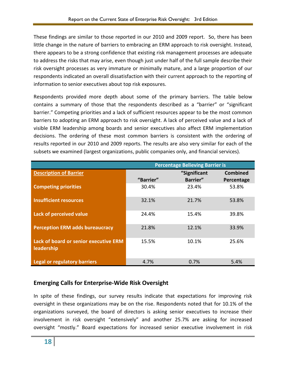These findings are similar to those reported in our 2010 and 2009 report. So, there has been little change in the nature of barriers to embracing an ERM approach to risk oversight. Instead, there appears to be a strong confidence that existing risk management processes are adequate to address the risks that may arise, even though just under half of the full sample describe their risk oversight processes as very immature or minimally mature, and a large proportion of our respondents indicated an overall dissatisfaction with their current approach to the reporting of information to senior executives about top risk exposures.

Respondents provided more depth about some of the primary barriers. The table below contains a summary of those that the respondents described as a "barrier" or "significant barrier." Competing priorities and a lack of sufficient resources appear to be the most common barriers to adopting an ERM approach to risk oversight. A lack of perceived value and a lack of visible ERM leadership among boards and senior executives also affect ERM implementation decisions. The ordering of these most common barriers is consistent with the ordering of results reported in our 2010 and 2009 reports. The results are also very similar for each of the subsets we examined (largest organizations, public companies only, and financial services).

|                                                            | <b>Percentage Believing Barrier is</b> |              |                 |  |  |
|------------------------------------------------------------|----------------------------------------|--------------|-----------------|--|--|
| <b>Description of Barrier</b>                              |                                        | "Significant | <b>Combined</b> |  |  |
|                                                            | "Barrier"                              | Barrier"     | Percentage      |  |  |
| <b>Competing priorities</b>                                | 30.4%                                  | 23.4%        | 53.8%           |  |  |
| <b>Insufficient resources</b>                              | 32.1%                                  | 21.7%        | 53.8%           |  |  |
| Lack of perceived value                                    | 24.4%                                  | 15.4%        | 39.8%           |  |  |
| <b>Perception ERM adds bureaucracy</b>                     | 21.8%                                  | 12.1%        | 33.9%           |  |  |
| <b>Lack of board or senior executive ERM</b><br>leadership | 15.5%                                  | 10.1%        | 25.6%           |  |  |
| <b>Legal or regulatory barriers</b>                        | 4.7%                                   | 0.7%         | 5.4%            |  |  |

#### **Emerging Calls for Enterprise-Wide Risk Oversight**

In spite of these findings, our survey results indicate that expectations for improving risk oversight in these organizations may be on the rise. Respondents noted that for 10.1% of the organizations surveyed, the board of directors is asking senior executives to increase their involvement in risk oversight "extensively" and another 25.7% are asking for increased oversight "mostly." Board expectations for increased senior executive involvement in risk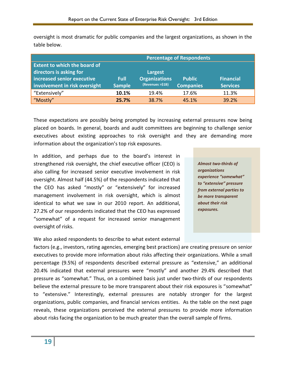oversight is most dramatic for public companies and the largest organizations, as shown in the table below.

|                                                                | <b>Percentage of Respondents</b> |                                          |                                   |                                     |  |
|----------------------------------------------------------------|----------------------------------|------------------------------------------|-----------------------------------|-------------------------------------|--|
| <b>Extent to which the board of</b><br>directors is asking for |                                  | Largest                                  |                                   |                                     |  |
| increased senior executive<br>involvement in risk oversight    | Full<br><b>Sample</b>            | <b>Organizations</b><br>(Revenues >\$1B) | <b>Public</b><br><b>Companies</b> | <b>Financial</b><br><b>Services</b> |  |
| "Extensively"                                                  | 10.1%                            | 19.4%                                    | 17.6%                             | 11.3%                               |  |
| "Mostly"                                                       | 25.7%                            | 38.7%                                    | 45.1%                             | 39.2%                               |  |

These expectations are possibly being prompted by increasing external pressures now being placed on boards. In general, boards and audit committees are beginning to challenge senior executives about existing approaches to risk oversight and they are demanding more information about the organization's top risk exposures.

In addition, and perhaps due to the board's interest in strengthened risk oversight, the chief executive officer (CEO) is also calling for increased senior executive involvement in risk oversight. Almost half (44.5%) of the respondents indicated that the CEO has asked "mostly" or "extensively" for increased management involvement in risk oversight, which is almost identical to what we saw in our 2010 report. An additional, 27.2% of our respondents indicated that the CEO has expressed "somewhat" of a request for increased senior management oversight of risks.

*Almost two-thirds of organizations experience "somewhat" to "extensive" pressure from external parties to be more transparent about their risk exposures.*

We also asked respondents to describe to what extent external

factors (e.g., investors, rating agencies, emerging best practices) are creating pressure on senior executives to provide more information about risks affecting their organizations. While a small percentage (9.5%) of respondents described external pressure as "extensive," an additional 20.4% indicated that external pressures were "mostly" and another 29.4% described that pressure as "somewhat." Thus, on a combined basis just under two-thirds of our respondents believe the external pressure to be more transparent about their risk exposures is "somewhat" to "extensive." Interestingly, external pressures are notably stronger for the largest organizations, public companies, and financial services entities. As the table on the next page reveals, these organizations perceived the external pressures to provide more information about risks facing the organization to be much greater than the overall sample of firms.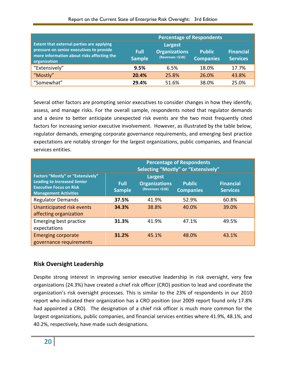|                                                                                                                                                            | <b>Percentage of Respondents</b> |                                                     |                                   |                                     |  |
|------------------------------------------------------------------------------------------------------------------------------------------------------------|----------------------------------|-----------------------------------------------------|-----------------------------------|-------------------------------------|--|
| <b>Extent that external parties are applying</b><br>pressure on senior executives to provide<br>more information about risks affecting the<br>organization | <b>Full</b><br><b>Sample</b>     | Largest<br><b>Organizations</b><br>(Revenues >\$1B) | <b>Public</b><br><b>Companies</b> | <b>Financial</b><br><b>Services</b> |  |
| "Extensively"                                                                                                                                              | 9.5%                             | 6.5%                                                | 18.0%                             | 17.7%                               |  |
| "Mostly"                                                                                                                                                   | 20.4%                            | 25.8%                                               | 26.0%                             | 43.8%                               |  |
| "Somewhat"                                                                                                                                                 | 29.4%                            | 51.6%                                               | 38.0%                             | 25.0%                               |  |

Several other factors are prompting senior executives to consider changes in how they identify, assess, and manage risks. For the overall sample, respondents noted that regulator demands and a desire to better anticipate unexpected risk events are the two most frequently cited factors for increasing senior executive involvement. However, as illustrated by the table below, regulator demands, emerging corporate governance requirements, and emerging best practice expectations are notably stronger for the largest organizations, public companies, and financial services entities.

|                                                                                                                                                  | <b>Percentage of Respondents</b><br>Selecting "Mostly" or "Extensively" |                                                            |                                   |                                     |
|--------------------------------------------------------------------------------------------------------------------------------------------------|-------------------------------------------------------------------------|------------------------------------------------------------|-----------------------------------|-------------------------------------|
| <b>Factors "Mostly" or "Extensively"</b><br><b>Leading to Increased Senior</b><br><b>Executive Focus on Risk</b><br><b>Management Activities</b> | <b>Full</b><br><b>Sample</b>                                            | <b>Largest</b><br><b>Organizations</b><br>(Revenues >\$1B) | <b>Public</b><br><b>Companies</b> | <b>Financial</b><br><b>Services</b> |
| <b>Regulator Demands</b>                                                                                                                         | 37.5%                                                                   | 41.9%                                                      | 52.9%                             | 60.8%                               |
| Unanticipated risk events<br>affecting organization                                                                                              | 34.3%                                                                   | 38.8%                                                      | 40.0%                             | 39.0%                               |
| Emerging best practice<br>expectations                                                                                                           | 31.3%                                                                   | 41.9%                                                      | 47.1%                             | 49.5%                               |
| <b>Emerging corporate</b><br>governance requirements                                                                                             | 31.2%                                                                   | 45.1%                                                      | 48.0%                             | 43.1%                               |

# **Risk Oversight Leadership**

Despite strong interest in improving senior executive leadership in risk oversight, very few organizations (24.3%) have created a chief risk officer (CRO) position to lead and coordinate the organization's risk oversight processes. This is similar to the 23% of respondents in our 2010 report who indicated their organization has a CRO position (our 2009 report found only 17.8% had appointed a CRO). The designation of a chief risk officer is much more common for the largest organizations, public companies, and financial services entities where 41.9%, 48.1%, and 40.2%, respectively, have made such designations.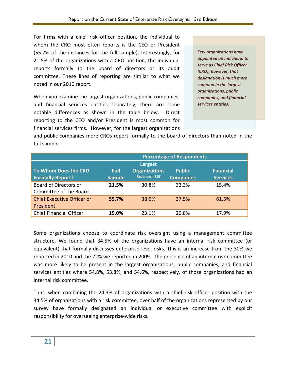For firms with a chief risk officer position, the individual to whom the CRO most often reports is the CEO or President (55.7% of the instances for the full sample). Interestingly, for 21.5% of the organizations with a CRO position, the individual reports formally to the board of directors or its audit committee. These lines of reporting are similar to what we noted in our 2010 report.

When you examine the largest organizations, public companies, and financial services entities separately, there are some notable differences as shown in the table below. Direct reporting to the CEO and/or President is most common for financial services firms. However, for the largest organizations *Few organizations have appointed an individual to serve as Chief Risk Officer (CRO); however, that designation is much more common in the largest organizations, public companies, and financial services entities.*

and public companies more CROs report formally to the board of directors than noted in the full sample.

|                                   | <b>Percentage of Respondents</b> |                      |                  |                  |
|-----------------------------------|----------------------------------|----------------------|------------------|------------------|
|                                   |                                  | Largest              |                  |                  |
| To Whom Does the CRO              | <b>Full</b>                      | <b>Organizations</b> | <b>Public</b>    | <b>Financial</b> |
| <b>Formally Report?</b>           | <b>Sample</b>                    | (Revenues >\$1B)     | <b>Companies</b> | <b>Services</b>  |
| <b>Board of Directors or</b>      | 21.5%                            | 30.8%                | 33.3%            | 15.4%            |
| Committee of the Board            |                                  |                      |                  |                  |
| <b>Chief Executive Officer or</b> | 55.7%                            | 38.5%                | 37.5%            | 61.5%            |
| President                         |                                  |                      |                  |                  |
| <b>Chief Financial Officer</b>    | 19.0%                            | 23.1%                | 20.8%            | 17.9%            |

Some organizations choose to coordinate risk oversight using a management committee structure. We found that 34.5% of the organizations have an internal risk committee (or equivalent) that formally discusses enterprise level risks. This is an increase from the 30% we reported in 2010 and the 22% we reported in 2009. The presence of an internal risk committee was more likely to be present in the largest organizations, public companies, and financial services entities where 54.8%, 53.8%, and 54.6%, respectively, of those organizations had an internal risk committee.

Thus, when combining the 24.3% of organizations with a chief risk officer position with the 34.5% of organizations with a risk committee, over half of the organizations represented by our survey have formally designated an individual or executive committee with explicit responsibility for overseeing enterprise-wide risks.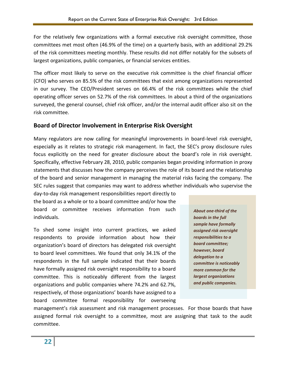For the relatively few organizations with a formal executive risk oversight committee, those committees met most often (46.9% of the time) on a quarterly basis, with an additional 29.2% of the risk committees meeting monthly. These results did not differ notably for the subsets of largest organizations, public companies, or financial services entities.

The officer most likely to serve on the executive risk committee is the chief financial officer (CFO) who serves on 85.5% of the risk committees that exist among organizations represented in our survey. The CEO/President serves on 66.4% of the risk committees while the chief operating officer serves on 52.7% of the risk committees. In about a third of the organizations surveyed, the general counsel, chief risk officer, and/or the internal audit officer also sit on the risk committee.

# **Board of Director Involvement in Enterprise Risk Oversight**

Many regulators are now calling for meaningful improvements in board-level risk oversight, especially as it relates to strategic risk management. In fact, the SEC's proxy disclosure rules focus explicitly on the need for greater disclosure about the board's role in risk oversight. Specifically, effective February 28, 2010, public companies began providing information in proxy statements that discusses how the company perceives the role of its board and the relationship of the board and senior management in managing the material risks facing the company. The SEC rules suggest that companies may want to address whether individuals who supervise the

day-to-day risk management responsibilities report directly to the board as a whole or to a board committee and/or how the board or committee receives information from such individuals.

To shed some insight into current practices, we asked respondents to provide information about how their organization's board of directors has delegated risk oversight to board level committees. We found that only 34.1% of the respondents in the full sample indicated that their boards have formally assigned risk oversight responsibility to a board committee. This is noticeably different from the largest organizations and public companies where 74.2% and 62.7%, respectively, of those organizations' boards have assigned to a board committee formal responsibility for overseeing

*About one-third of the boards in the full sample have formally assigned risk oversight responsibilities to a board committee; however, board delegation to a committee is noticeably more common for the largest organizations and public companies.*

management's risk assessment and risk management processes. For those boards that have assigned formal risk oversight to a committee, most are assigning that task to the audit committee.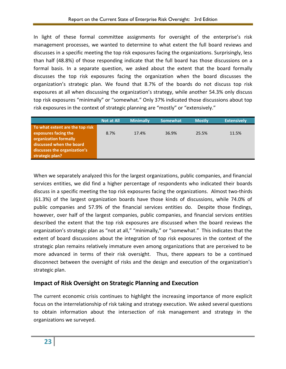In light of these formal committee assignments for oversight of the enterprise's risk management processes, we wanted to determine to what extent the full board reviews and discusses in a specific meeting the top risk exposures facing the organizations. Surprisingly, less than half (48.8%) of those responding indicate that the full board has those discussions on a formal basis. In a separate question, we asked about the extent that the board formally discusses the top risk exposures facing the organization when the board discusses the organization's strategic plan. We found that 8.7% of the boards do not discuss top risk exposures at all when discussing the organization's strategy, while another 54.3% only discuss top risk exposures "minimally" or "somewhat." Only 37% indicated those discussions about top risk exposures in the context of strategic planning are "mostly" or "extensively."

|                                                                                                                                              | <b>Not at All</b> | <b>Minimally</b> | <b>Somewhat</b> | <b>Mostly</b> | <b>Extensively</b> |
|----------------------------------------------------------------------------------------------------------------------------------------------|-------------------|------------------|-----------------|---------------|--------------------|
| To what extent are the top risk<br>exposures facing the<br>organization formally<br>discussed when the board<br>discusses the organization's | 8.7%              | 17.4%            | 36.9%           | 25.5%         | 11.5%              |
| strategic plan?                                                                                                                              |                   |                  |                 |               |                    |

When we separately analyzed this for the largest organizations, public companies, and financial services entities, we did find a higher percentage of respondents who indicated their boards discuss in a specific meeting the top risk exposures facing the organizations. Almost two-thirds (61.3%) of the largest organization boards have those kinds of discussions, while 74.0% of public companies and 57.9% of the financial services entities do. Despite those findings, however, over half of the largest companies, public companies, and financial services entities described the extent that the top risk exposures are discussed when the board reviews the organization's strategic plan as "not at all," "minimally," or "somewhat." This indicates that the extent of board discussions about the integration of top risk exposures in the context of the strategic plan remains relatively immature even among organizations that are perceived to be more advanced in terms of their risk oversight. Thus, there appears to be a continued disconnect between the oversight of risks and the design and execution of the organization's strategic plan.

# **Impact of Risk Oversight on Strategic Planning and Execution**

The current economic crisis continues to highlight the increasing importance of more explicit focus on the interrelationship of risk taking and strategy execution. We asked several questions to obtain information about the intersection of risk management and strategy in the organizations we surveyed.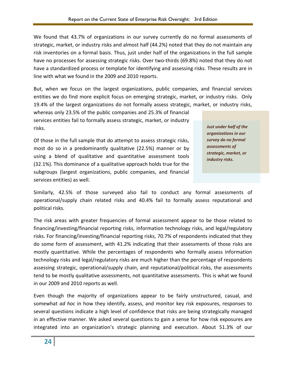We found that 43.7% of organizations in our survey currently do no formal assessments of strategic, market, or industry risks and almost half (44.2%) noted that they do not maintain any risk inventories on a formal basis. Thus, just under half of the organizations in the full sample have no processes for assessing strategic risks. Over two-thirds (69.8%) noted that they do not have a standardized process or template for identifying and assessing risks. These results are in line with what we found in the 2009 and 2010 reports.

But, when we focus on the largest organizations, public companies, and financial services entities we do find more explicit focus on emerging strategic, market, or industry risks. Only 19.4% of the largest organizations do not formally assess strategic, market, or industry risks,

whereas only 23.5% of the public companies and 25.3% of financial services entities fail to formally assess strategic, market, or industry risks.

Of those in the full sample that do attempt to assess strategic risks, most do so in a predominantly qualitative (22.5%) manner or by using a blend of qualitative and quantitative assessment tools (32.1%). This dominance of a qualitative approach holds true for the subgroups (largest organizations, public companies, and financial services entities) as well.

*Just under half of the organizations in our survey do no formal assessments of strategic, market, or industry risks.*

Similarly, 42.5% of those surveyed also fail to conduct any formal assessments of operational/supply chain related risks and 40.4% fail to formally assess reputational and political risks.

The risk areas with greater frequencies of formal assessment appear to be those related to financing/investing/financial reporting risks, information technology risks, and legal/regulatory risks. For financing/investing/financial reporting risks, 70.7% of respondents indicated that they do some form of assessment, with 41.2% indicating that their assessments of those risks are mostly quantitative. While the percentages of respondents who formally assess information technology risks and legal/regulatory risks are much higher than the percentage of respondents assessing strategic, operational/supply chain, and reputational/political risks, the assessments tend to be mostly qualitative assessments, not quantitative assessments. This is what we found in our 2009 and 2010 reports as well.

Even though the majority of organizations appear to be fairly unstructured, casual, and somewhat *ad hoc* in how they identify, assess, and monitor key risk exposures, responses to several questions indicate a high level of confidence that risks are being strategically managed in an effective manner. We asked several questions to gain a sense for how risk exposures are integrated into an organization's strategic planning and execution. About 51.3% of our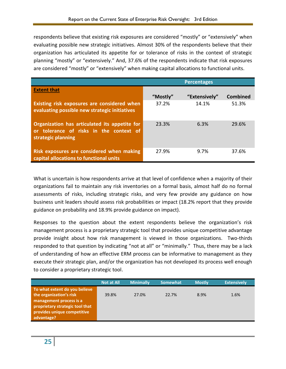respondents believe that existing risk exposures are considered "mostly" or "extensively" when evaluating possible new strategic initiatives. Almost 30% of the respondents believe that their organization has articulated its appetite for or tolerance of risks in the context of strategic planning "mostly" or "extensively." And, 37.6% of the respondents indicate that risk exposures are considered "mostly" or "extensively" when making capital allocations to functional units.

|                                                                                                                | <b>Percentages</b> |               |                 |
|----------------------------------------------------------------------------------------------------------------|--------------------|---------------|-----------------|
| <b>Extent that</b>                                                                                             |                    |               |                 |
|                                                                                                                | "Mostly"           | "Extensively" | <b>Combined</b> |
| Existing risk exposures are considered when<br>evaluating possible new strategic initiatives                   | 37.2%              | 14.1%         | 51.3%           |
| Organization has articulated its appetite for<br>or tolerance of risks in the context of<br>strategic planning | 23.3%              | 6.3%          | 29.6%           |
| Risk exposures are considered when making<br>capital allocations to functional units                           | 27.9%              | 9.7%          | 37.6%           |

What is uncertain is how respondents arrive at that level of confidence when a majority of their organizations fail to maintain any risk inventories on a formal basis, almost half do no formal assessments of risks, including strategic risks, and very few provide any guidance on how business unit leaders should assess risk probabilities or impact (18.2% report that they provide guidance on probability and 18.9% provide guidance on impact).

Responses to the question about the extent respondents believe the organization's risk management process is a proprietary strategic tool that provides unique competitive advantage provide insight about how risk management is viewed in those organizations. Two-thirds responded to that question by indicating "not at all" or "minimally." Thus, there may be a lack of understanding of how an effective ERM process can be informative to management as they execute their strategic plan, and/or the organization has not developed its process well enough to consider a proprietary strategic tool.

|                                 | <b>Not at All</b> | <b>Minimally</b> | <b>Somewhat</b> | <b>Mostly</b> | <b>Extensively</b> |
|---------------------------------|-------------------|------------------|-----------------|---------------|--------------------|
| To what extent do you believe   |                   |                  |                 |               |                    |
| the organization's risk         | 39.8%             | 27.0%            | 22.7%           | 8.9%          | 1.6%               |
| management process is a         |                   |                  |                 |               |                    |
| proprietary strategic tool that |                   |                  |                 |               |                    |
| provides unique competitive     |                   |                  |                 |               |                    |
| advantage?                      |                   |                  |                 |               |                    |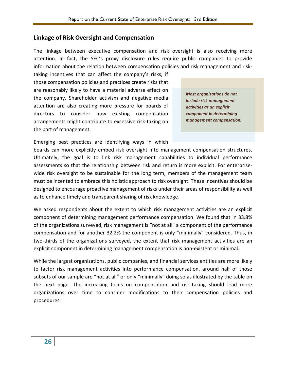#### **Linkage of Risk Oversight and Compensation**

The linkage between executive compensation and risk oversight is also receiving more attention. In fact, the SEC's proxy disclosure rules require public companies to provide information about the relation between compensation policies and risk management and risk-

taking incentives that can affect the company's risks, if those compensation policies and practices create risks that are reasonably likely to have a material adverse effect on the company. Shareholder activism and negative media attention are also creating more pressure for boards of directors to consider how existing compensation arrangements might contribute to excessive risk-taking on the part of management.

*Most organizations do not include risk management activities as an explicit component in determining management compensation.*

Emerging best practices are identifying ways in which

boards can more explicitly embed risk oversight into management compensation structures. Ultimately, the goal is to link risk management capabilities to individual performance assessments so that the relationship between risk and return is more explicit. For enterprisewide risk oversight to be sustainable for the long term, members of the management team must be incented to embrace this holistic approach to risk oversight. These incentives should be designed to encourage proactive management of risks under their areas of responsibility as well as to enhance timely and transparent sharing of risk knowledge.

We asked respondents about the extent to which risk management activities are an explicit component of determining management performance compensation. We found that in 33.8% of the organizations surveyed, risk management is "not at all" a component of the performance compensation and for another 32.2% the component is only "minimally" considered. Thus, in two-thirds of the organizations surveyed, the extent that risk management activities are an explicit component in determining management compensation is non-existent or minimal.

While the largest organizations, public companies, and financial services entities are more likely to factor risk management activities into performance compensation, around half of those subsets of our sample are "not at all" or only "minimally" doing so as illustrated by the table on the next page. The increasing focus on compensation and risk-taking should lead more organizations over time to consider modifications to their compensation policies and procedures.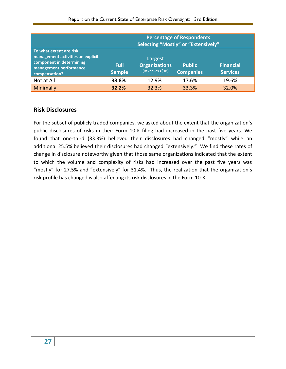|                                                                                                                                     | <b>Percentage of Respondents</b><br>Selecting "Mostly" or "Extensively" |                                                     |                                   |                                     |
|-------------------------------------------------------------------------------------------------------------------------------------|-------------------------------------------------------------------------|-----------------------------------------------------|-----------------------------------|-------------------------------------|
| To what extent are risk<br>management activities an explicit<br>component in determining<br>management performance<br>compensation? | Full<br><b>Sample</b>                                                   | Largest<br><b>Organizations</b><br>(Revenues >\$1B) | <b>Public</b><br><b>Companies</b> | <b>Financial</b><br><b>Services</b> |
| Not at All                                                                                                                          | 33.8%                                                                   | 12.9%                                               | 17.6%                             | 19.6%                               |
| Minimally                                                                                                                           | 32.2%                                                                   | 32.3%                                               | 33.3%                             | 32.0%                               |

## **Risk Disclosures**

For the subset of publicly traded companies, we asked about the extent that the organization's public disclosures of risks in their Form 10-K filing had increased in the past five years. We found that one-third (33.3%) believed their disclosures had changed "mostly" while an additional 25.5% believed their disclosures had changed "extensively." We find these rates of change in disclosure noteworthy given that those same organizations indicated that the extent to which the volume and complexity of risks had increased over the past five years was "mostly" for 27.5% and "extensively" for 31.4%. Thus, the realization that the organization's risk profile has changed is also affecting its risk disclosures in the Form 10-K.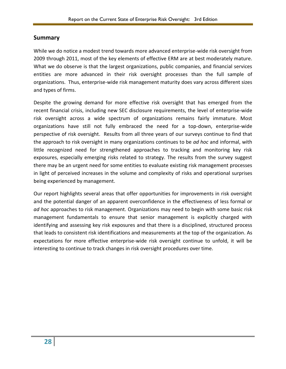#### **Summary**

While we do notice a modest trend towards more advanced enterprise-wide risk oversight from 2009 through 2011, most of the key elements of effective ERM are at best moderately mature. What we do observe is that the largest organizations, public companies, and financial services entities are more advanced in their risk oversight processes than the full sample of organizations. Thus, enterprise-wide risk management maturity does vary across different sizes and types of firms.

Despite the growing demand for more effective risk oversight that has emerged from the recent financial crisis, including new SEC disclosure requirements, the level of enterprise-wide risk oversight across a wide spectrum of organizations remains fairly immature. Most organizations have still not fully embraced the need for a top-down, enterprise-wide perspective of risk oversight. Results from all three years of our surveys continue to find that the approach to risk oversight in many organizations continues to be *ad hoc* and informal, with little recognized need for strengthened approaches to tracking and monitoring key risk exposures, especially emerging risks related to strategy. The results from the survey suggest there may be an urgent need for some entities to evaluate existing risk management processes in light of perceived increases in the volume and complexity of risks and operational surprises being experienced by management.

Our report highlights several areas that offer opportunities for improvements in risk oversight and the potential danger of an apparent overconfidence in the effectiveness of less formal or *ad hoc* approaches to risk management. Organizations may need to begin with some basic risk management fundamentals to ensure that senior management is explicitly charged with identifying and assessing key risk exposures and that there is a disciplined, structured process that leads to consistent risk identifications and measurements at the top of the organization. As expectations for more effective enterprise-wide risk oversight continue to unfold, it will be interesting to continue to track changes in risk oversight procedures over time.